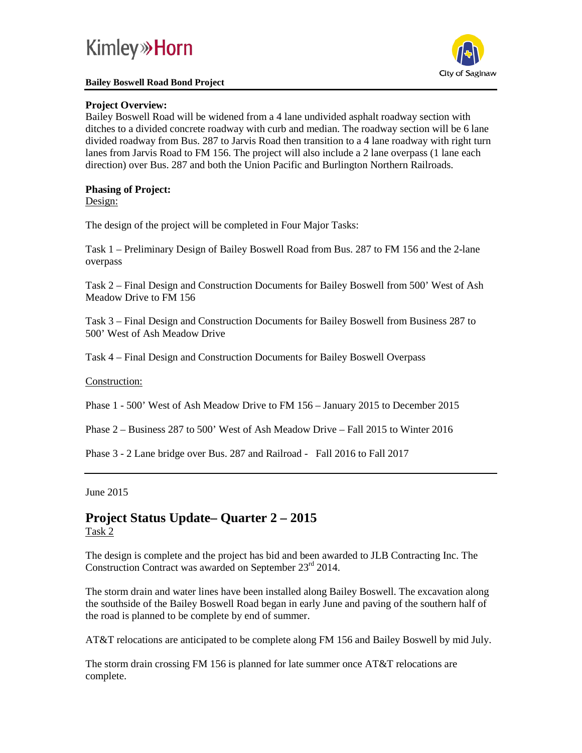# **Kimley» Horn**

#### **Bailey Boswell Road Bond Project**



## **Project Overview:**

Bailey Boswell Road will be widened from a 4 lane undivided asphalt roadway section with ditches to a divided concrete roadway with curb and median. The roadway section will be 6 lane divided roadway from Bus. 287 to Jarvis Road then transition to a 4 lane roadway with right turn lanes from Jarvis Road to FM 156. The project will also include a 2 lane overpass (1 lane each direction) over Bus. 287 and both the Union Pacific and Burlington Northern Railroads.

## **Phasing of Project:**

Design:

The design of the project will be completed in Four Major Tasks:

Task 1 – Preliminary Design of Bailey Boswell Road from Bus. 287 to FM 156 and the 2-lane overpass

Task 2 – Final Design and Construction Documents for Bailey Boswell from 500' West of Ash Meadow Drive to FM 156

Task 3 – Final Design and Construction Documents for Bailey Boswell from Business 287 to 500' West of Ash Meadow Drive

Task 4 – Final Design and Construction Documents for Bailey Boswell Overpass

## Construction:

Phase 1 - 500' West of Ash Meadow Drive to FM 156 – January 2015 to December 2015

Phase 2 – Business 287 to 500' West of Ash Meadow Drive – Fall 2015 to Winter 2016

Phase 3 - 2 Lane bridge over Bus. 287 and Railroad - Fall 2016 to Fall 2017

### June 2015

## **Project Status Update– Quarter 2 – 2015** Task 2

The design is complete and the project has bid and been awarded to JLB Contracting Inc. The Construction Contract was awarded on September 23<sup>rd</sup> 2014.

The storm drain and water lines have been installed along Bailey Boswell. The excavation along the southside of the Bailey Boswell Road began in early June and paving of the southern half of the road is planned to be complete by end of summer.

AT&T relocations are anticipated to be complete along FM 156 and Bailey Boswell by mid July.

The storm drain crossing FM 156 is planned for late summer once AT&T relocations are complete.